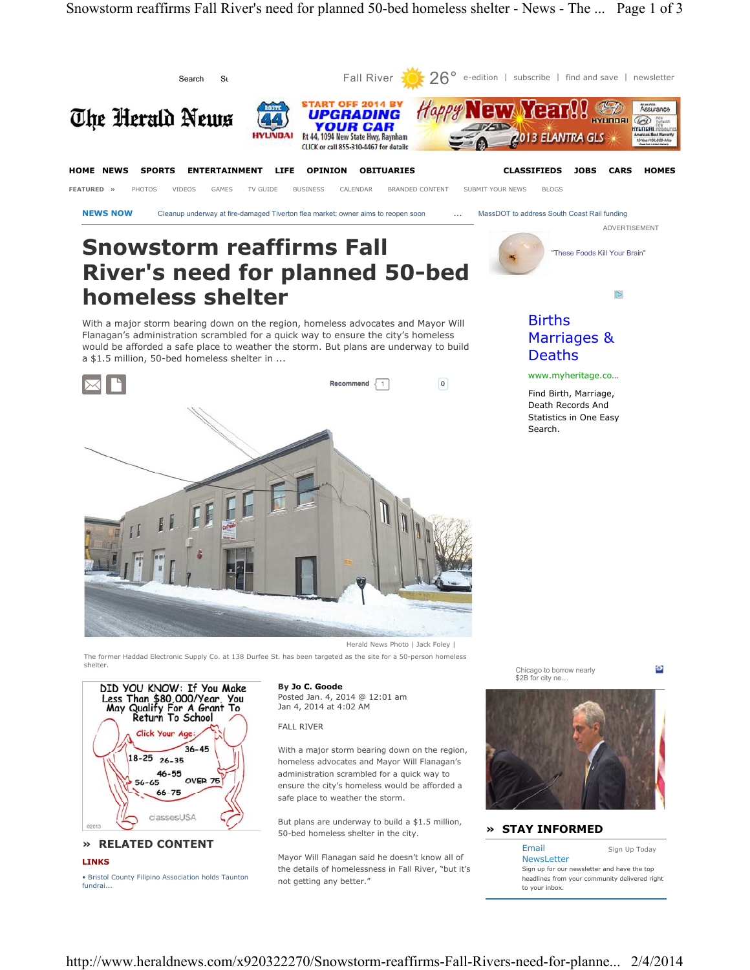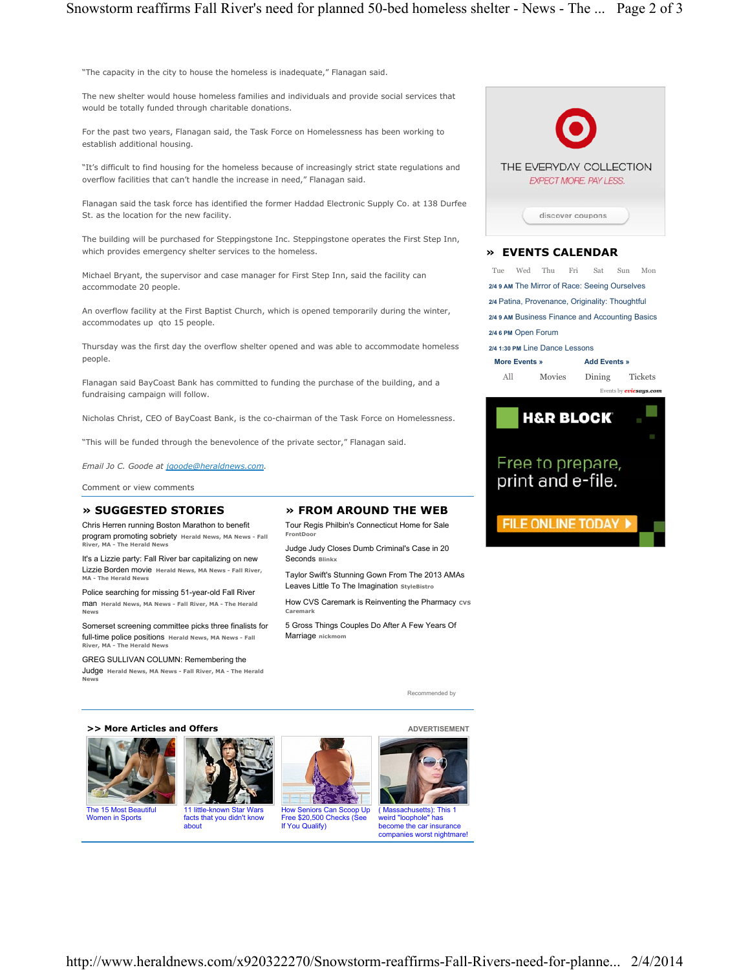"The capacity in the city to house the homeless is inadequate," Flanagan said.

The new shelter would house homeless families and individuals and provide social services that would be totally funded through charitable donations.

For the past two years, Flanagan said, the Task Force on Homelessness has been working to establish additional housing.

"It's difficult to find housing for the homeless because of increasingly strict state regulations and overflow facilities that can't handle the increase in need," Flanagan said.

Flanagan said the task force has identified the former Haddad Electronic Supply Co. at 138 Durfee St. as the location for the new facility.

The building will be purchased for Steppingstone Inc. Steppingstone operates the First Step Inn, which provides emergency shelter services to the homeless.

Michael Bryant, the supervisor and case manager for First Step Inn, said the facility can accommodate 20 people.

An overflow facility at the First Baptist Church, which is opened temporarily during the winter, accommodates up qto 15 people.

Thursday was the first day the overflow shelter opened and was able to accommodate homeless people.

Flanagan said BayCoast Bank has committed to funding the purchase of the building, and a fundraising campaign will follow.

Nicholas Christ, CEO of BayCoast Bank, is the co-chairman of the Task Force on Homelessness.

"This will be funded through the benevolence of the private sector," Flanagan said.

*Email Jo C. Goode at jgoode@heraldnews.com.*

Comment or view comments

## **» SUGGESTED STORIES**

Chris Herren running Boston Marathon to benefit program promoting sobriety **Herald News, MA News - Fall River, MA - The Herald New** 

It's a Lizzie party: Fall River bar capitalizing on new Lizzie Borden movie **Herald News, MA News - Fall River, MA - The Herald News** 

Police searching for missing 51-year-old Fall River man **Herald News, MA News - Fall River, MA - The Herald News**

Somerset screening committee picks three finalists for full-time police positions **Herald News, MA News - Fall River, MA - The Herald News**

GREG SULLIVAN COLUMN: Remembering the Judge **Herald News, MA News - Fall River, MA - The Herald News**

## **» FROM AROUND THE WEB**

Tour Regis Philbin's Connecticut Home for Sale **FrontD** 

Judge Judy Closes Dumb Criminal's Case in 20 **Seconds Blink** 

Taylor Swift's Stunning Gown From The 2013 AMAs Leaves Little To The Imagination **StyleBistro**

How CVS Caremark is Reinventing the Pharmacy cvs **Carema** 

5 Gross Things Couples Do After A Few Years Of Marriage nickmo

Recommended by

>> More Articles and Offers **ADVERTISEMENT** 



The 15 Most Beautiful Women in Sports



about





companies worst nightmare!



## **» EVENTS CALENDAR**

Tue Wed Thu Fri Sat Sun Mon **2/4 9 AM** The Mirror of Race: Seeing Ourselves **2/4** Patina, Provenance, Originality: Thoughtful **2/4 9 AM** Business Finance and Accounting Basics **2/4 6 PM** Open Forum

**More Events » 2/4 1:30 PM** Line Dance Lessons **Add Events »**